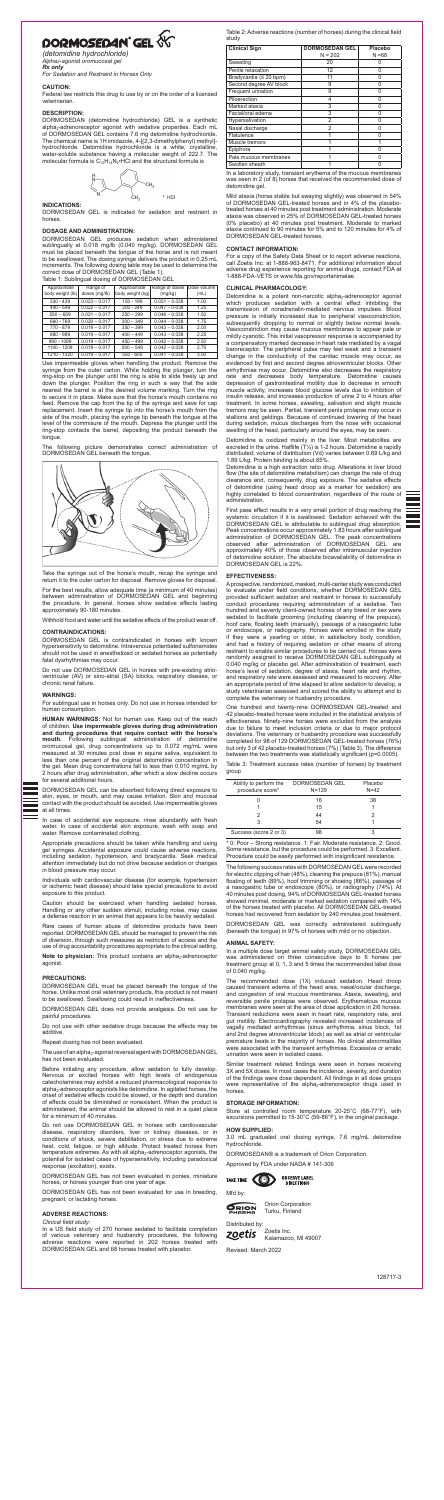# DORMOSEDAN<sup>®</sup> GEL

*(detomidine hydrochloride) Alpha2-agonist oromucosal gel Rx only*

*For Sedation and Restraint in Horses Only*

DORMOSEDAN (detomidine hydrochloride) GEL is a synthetic alpha<sub>2</sub>-adrenoreceptor agonist with sedative properties. Each mL of DORMOSEDAN GEL contains 7.6 mg detomidine hydrochloride. The chemical name is 1H imidazole, 4-[(2,3-dimethylphenyl) methyl] hydrochloride. Detomidine hydrochloride is a white, crystalline, water-soluble substance having a molecular weight of 222.7. The molecular formula is  $C_{12}H_{14}N_2 \cdot \text{HCl}$  and the structural formula is



## **CAUTION:**

Federal law restricts this drug to use by or on the order of a licensed veterinarian.

## **DESCRIPTION:**

## **INDICATIONS:**

DORMOSEDAN GEL is indicated for sedation and restraint in horses.

## **DOSAGE AND ADMINISTRATION:**

DORMOSEDAN GEL produces sedation when administered sublingually at 0.018 mg/lb (0.040 mg/kg). DORMOSEDAN GEL must be placed beneath the tongue of the horse and is not meant to be swallowed. The dosing syringe delivers the product in 0.25 mL increments. The following dosing table may be used to determine the correct dose of DORMOSEDAN GEL (Table 1). Table 1: Sublingual dosing of DORMOSEDAN GEL

| Approximate      | Range of        | Approximate      | Range of doses  | Dose volume |
|------------------|-----------------|------------------|-----------------|-------------|
| body weight (lb) | doses (mg/lb)   | body weight (kg) | (mg/kg)         | (mL)        |
| $330 - 439$      | $0.023 - 0.017$ | $150 - 199$      | $0.051 - 0.038$ | 1.00        |
| $440 - 549$      | $0.022 - 0.017$ | $200 - 249$      | $0.047 - 0.038$ | 1.25        |
| $550 - 659$      | $0.021 - 0.017$ | $250 - 299$      | $0.046 - 0.038$ | 1.50        |
| 660 - 769        | $0.020 - 0.017$ | $300 - 349$      | $0.044 - 0.038$ | 1.75        |
| 770 - 879        | $0.019 - 0.017$ | $350 - 399$      | $0.043 - 0.038$ | 2.00        |
| 880 - 989        | $0.019 - 0.017$ | $400 - 449$      | $0.043 - 0.038$ | 2.25        |
| 990 - 1099       | $0.019 - 0.017$ | $450 - 499$      | $0.042 - 0.038$ | 2.50        |
| 1100 - 1209      | $0.019 - 0.017$ | $500 - 549$      | $0.042 - 0.038$ | 2.75        |
| 1210 - 1320      | $0.019 - 0.017$ | $550 - 600$      | $0.041 - 0.038$ | 3.00        |

Use impermeable gloves when handling the product. Remove the syringe from the outer carton. While holding the plunger, turn the ring-stop on the plunger until the ring is able to slide freely up and down the plunger. Position the ring in such a way that the side nearest the barrel is at the desired volume marking. Turn the ring to secure it in place. Make sure that the horse's mouth contains no feed. Remove the cap from the tip of the syringe and save for cap replacement. Insert the syringe tip into the horse's mouth from the side of the mouth, placing the syringe tip beneath the tongue at the level of the commisure of the mouth. Depress the plunger until the ring-stop contacts the barrel, depositing the product beneath the tongue.

The following picture demonstrates correct administration of DORMOSEDAN GEL beneath the tongue.



Take the syringe out of the horse's mouth, recap the syringe and return it to the outer carton for disposal. Remove gloves for disposal.

Note to physician: This product contains an alpha<sub>2</sub>-adrenoceptor agonist.

For the best results, allow adequate time (a minimum of 40 minutes) between administration of DORMOSEDAN GEL and beginning the procedure. In general, horses show sedative effects lasting approximately 90-180 minutes.

The use of an alpha<sub>2</sub>-agonist reversal agent with DORMOSEDAN GEL has not been evaluated.

Withhold food and water until the sedative effects of the product wear off.

## **CONTRAINDICATIONS:**

DORMOSEDAN GEL is contraindicated in horses with known hypersensitivity to detomidine. Intravenous potentiated sulfonamides should not be used in anesthetized or sedated horses as potentially fatal dysrhythmias may occur.

Do not use DORMOSEDAN GEL in horses with pre-existing atrioventricular (AV) or sino-atrial (SA) blocks, respiratory disease, or chronic renal failure.

## **WARNINGS:**

For sublingual use in horses only. Do not use in horses intended for human consumption.

**HUMAN WARNINGS:** Not for human use. Keep out of the reach of children. **Use impermeable gloves during drug administration and during procedures that require contact with the horse's mouth.** Following sublingual administration of detomidine oromucosal gel, drug concentrations up to 0.072 mg/mL were measured at 30 minutes post dose in equine saliva, equivalent to less than one percent of the original detomidine concentration in the gel. Mean drug concentrations fall to less than 0.010 mg/mL by 2 hours after drug administration, after which a slow decline occurs for several additional hours.



DORMOSEDAN GEL can be absorbed following direct exposure to skin, eyes, or mouth, and may cause irritation. Skin and mucosal contact with the product should be avoided. Use impermeable gloves at all times.

In case of accidental eye exposure, rinse abundantly with fresh water. In case of accidental skin exposure, wash with soap and water. Remove contaminated clothing.

Appropriate precautions should be taken while handling and using gel syringes. Accidental exposure could cause adverse reactions, including sedation, hypotension, and bradycardia. Seek medical attention immediately but do not drive because sedation or changes in blood pressure may occur.

Individuals with cardiovascular disease (for example, hypertension or ischemic heart disease) should take special precautions to avoid exposure to this product.

Detomidine is a potent non-narcotic alpha<sub>2</sub>-adrenoceptor agonist which produces sedation with a central effect inhibiting the transmission of noradrenalin-mediated nervous impulses. Blood pressure is initially increased due to peripheral vasoconstriction, subsequently dropping to normal or slightly below normal levels. Vasoconstriction may cause mucous membranes to appear pale or mildly cyanotic. This initial vasopressor response is accompanied by a compensatory marked decrease in heart rate mediated by a vagal baroreceptor. The peripheral pulse may feel weak and a transient change in the conductivity of the cardiac muscle may occur, as evidenced by first and second degree atrioventricular blocks. Other arrhythmias may occur. Detomidine also decreases the respiratory rate and decreases body temperature. Detomidine causes depression of gastrointestinal motility due to decrease in smooth muscle activity, increases blood glucose levels due to inhibition of insulin release, and increases production of urine 2 to 4 hours after treatment. In some horses, sweating, salivation and slight muscle tremors may be seen. Partial, transient penis prolapse may occur in stallions and geldings. Because of continued lowering of the head during sedation, mucus discharges from the nose with occasional swelling of the head, particularly around the eyes, may be seen.

Caution should be exercised when handling sedated horses. Handling or any other sudden stimuli, including noise, may cause a defense reaction in an animal that appears to be heavily sedated.

Rare cases of human abuse of detomidine products have been reported. DORMOSEDAN GEL should be managed to prevent the risk of diversion, through such measures as restriction of access and the use of drug accountability procedures appropriate to the clinical setting.

## **PRECAUTIONS:**

DORMOSEDAN GEL must be placed beneath the tongue of the horse. Unlike most oral veterinary products, this product is not meant to be swallowed. Swallowing could result in ineffectiveness.

DORMOSEDAN GEL does not provide analgesia. Do not use for painful procedures.

Do not use with other sedative drugs because the effects may be additive.

Repeat dosing has not been evaluated.

Before initiating any procedure, allow sedation to fully develop. Nervous or excited horses with high levels of endogenous catecholamines may exhibit a reduced pharmacological response to  $alpha_{2}$ -adrenoceptor agonists like detomidine. In agitated horses, the onset of sedative effects could be slowed, or the depth and duration of effects could be diminished or nonexistent. When the product is administered, the animal should be allowed to rest in a quiet place for a minimum of 40 minutes.

Do not use DORMOSEDAN GEL in horses with cardiovascular disease, respiratory disorders, liver or kidney diseases, or in conditions of shock, severe debilitation, or stress due to extreme heat, cold, fatigue, or high altitude. Protect treated horses from temperature extremes. As with all alpha $_2$ -adrenoceptor agonists, the potential for isolated cases of hypersensitivity, including paradoxical response (excitation), exists.

DORMOSEDAN GEL has not been evaluated in ponies, miniature horses, or horses younger than one year of age.

DORMOSEDAN GEL has not been evaluated for use in breeding, pregnant, or lactating horses.

#### **ADVERSE REACTIONS:**

#### *Clinical field study:*

In a US field study of 270 horses sedated to facilitate completion of various veterinary and husbandry procedures, the following adverse reactions were reported in 202 horses treated with DORMOSEDAN GEL and 68 horses treated with placebo:

Table 2: Adverse reactions (number of horses) during the clinical field study

| <b>Clinical Sign</b>     | <b>DORMOSEDAN GEL</b><br>$N = 202$ | Placebo<br>$N = 68$ |
|--------------------------|------------------------------------|---------------------|
|                          |                                    |                     |
| Sweating                 | 20                                 |                     |
| Penile relaxation        | 12                                 | N                   |
| Bradycardia $(≤ 20$ bpm) | 11                                 | Ω                   |
| Second degree AV block   | 9                                  | n                   |
| Frequent urination       | 9                                  | ი                   |
| Piloerection             | 4                                  |                     |
| Marked ataxia            | 3                                  |                     |
| Facial/oral edema        | 3                                  | O                   |
| Hypersalivation          | $\overline{2}$                     | N                   |
| Nasal discharge          | $\mathfrak{p}$                     | n                   |
| Flatulence               |                                    | n                   |
| Muscle tremors           |                                    |                     |
| Epiphora                 |                                    |                     |
| Pale mucous membranes    |                                    |                     |
| Swollen sheath           |                                    |                     |

In a laboratory study, transient erythema of the mucous membranes was seen in 2 (of 8) horses that received the recommended dose of detomidine gel.

Mild ataxia (horse stable but swaying slightly) was observed in 54% of DORMOSEDAN GEL-treated horses and in 4% of the placebotreated horses at 40 minutes post treatment administration. Moderate ataxia was observed in 25% of DORMOSEDAN GEL-treated horses (0% placebo) at 40 minutes post treatment. Moderate to marked ataxia continued to 90 minutes for 5% and to 120 minutes for 4% of DORMOSEDAN GEL-treated horses.

#### **CONTACT INFORMATION:**

For a copy of the Safety Data Sheet or to report adverse reactions, call Zoetis Inc. at 1-888-963-8471. For additional information about adverse drug experience reporting for animal drugs, contact FDA at 1-888-FDA-VETS or www.fda.gov/reportanimalae.

## **CLINICAL PHARMACOLOGY:**

Detomidine is oxidized mainly in the liver. Most metabolites are excreted in the urine. Halflife  $(T\frac{1}{2})$  is 1-2 hours. Detomidine is rapidly distributed; volume of distribution (Vd) varies between 0.69 L/kg and 1.89 L/kg. Protein binding is about 85%.

Detomidine is a high extraction ratio drug. Alterations in liver blood flow (the site of detomidine metabolism) can change the rate of drug clearance and, consequently, drug exposure. The sedative effects of detomidine (using head droop as a marker for sedation) are highly correlated to blood concentration, regardless of the route of administration.

First pass effect results in a very small portion of drug reaching the systemic circulation if it is swallowed. Sedation achieved with the DORMOSEDAN GEL is attributable to sublingual drug absorption. Peak concentrations occur approximately 1.83 hours after sublingual administration of DORMOSEDAN GEL. The peak concentrations observed after administration of DORMOSEDAN GEL are approximately 40% of those observed after intramuscular injection of detomidine solution. The absolute bioavailability of detomidine in DORMOSEDAN GEL is 22%.

## **EFFECTIVENESS:**

A prospective, randomized, masked, multi-center study was conducted to evaluate under field conditions, whether DORMOSEDAN GEL provided sufficient sedation and restraint in horses to successfully conduct procedures requiring administration of a sedative. Two hundred and seventy client-owned horses of any breed or sex were sedated to facilitate grooming (including cleaning of the prepuce), hoof care, floating teeth (manually), passage of a nasogastric tube or endoscope, or radiography. Horses were enrolled in the study if they were a yearling or older, in satisfactory body condition, and had a history of requiring sedation or other means of strong restraint to enable similar procedures to be carried out. Horses were randomly assigned to receive DORMOSEDAN GEL sublingually at 0.040 mg/kg or placebo gel. After administration of treatment, each horse's level of sedation, degree of ataxia, heart rate and rhythm, and respiratory rate were assessed and measured to recovery. After an appropriate period of time elapsed to allow sedation to develop, a study veterinarian assessed and scored the ability to attempt and to complete the veterinary or husbandry procedure.

One hundred and twenty-nine DORMOSEDAN GEL-treated and 42 placebo-treated horses were included in the statistical analysis of effectiveness. Ninety-nine horses were excluded from the analysis due to failure to meet inclusion criteria or due to major protocol deviations. The veterinary or husbandry procedure was successfully completed for 98 of 129 DORMOSEDAN GEL-treated horses (76%) but only 3 of 42 placebo-treated horses (7%) (Table 3). The difference between the two treatments was statistically significant (p=0.0005).

Table 3: Treatment success rates (number of horses) by treatment group

| Ability to perform the<br>procedure score* | DORMOSEDAN GEL<br>$N = 129$ | Placebo<br>$N=42$ |
|--------------------------------------------|-----------------------------|-------------------|
|                                            | 16                          | 38                |
|                                            | 15                          |                   |
|                                            | 44                          |                   |
| ঽ                                          | 54                          |                   |
| Success (score 2 or 3)                     |                             |                   |

\* 0: Poor – Strong resistance. 1: Fair. Moderate resistance. 2: Good. Some resistance, but the procedure could be performed. 3: Excellent. Procedure could be easily performed with insignificant resistance.

The following success rates with DORMOSEDAN GEL were recorded for electric clipping of hair (48%), cleaning the prepuce (81%), manual floating of teeth (89%), hoof trimming or shoeing (86%), passage of a nasogastric tube or endoscope (80%), or radiography (74%). At 40 minutes post dosing, 94% of DORMOSEDAN GEL-treated horses showed minimal, moderate or marked sedation compared with 14% of the horses treated with placebo. All DORMOSEDAN GEL-treated horses had recovered from sedation by 240 minutes post treatment.

DORMOSEDAN GEL was correctly administered sublingually (beneath the tongue) in 97% of horses with mild or no objection.

#### **ANIMAL SAFETY:**

In a multiple dose target animal safety study, DORMOSEDAN GEL was administered on three consecutive days to 6 horses per treatment group at 0, 1, 3 and 5 times the recommended label dose of 0.040 mg/kg.

The recommended dose (1X) induced sedation. Head droop caused transient edema of the head area, nasal/ocular discharge, and congestion of oral mucous membranes. Ataxia, sweating, and reversible penile prolapse were observed. Erythematous mucous membranes were seen at the area of dose application in 2/6 horses. Transient reductions were seen in heart rate, respiratory rate, and gut motility. Electrocardiography revealed increased incidences of vagally mediated arrhythmias (sinus arrhythmia, sinus block, 1st and 2nd degree atrioventricular block) as well as atrial or ventricular premature beats in the majority of horses. No clinical abnormalities were associated with the transient arrhythmias. Excessive or erratic urination were seen in isolated cases.

Similar treatment related findings were seen in horses receiving 3X and 5X doses. In most cases the incidence, severity, and duration of the findings were dose dependent. All findings in all dose groups were representative of the alpha<sub>2</sub>-adrenoreceptor drugs used in horses.

#### **STORAGE INFORMATION:**

Store at controlled room temperature 20-25°C (68-77°F), with excursions permitted to 15-30°C (59-86°F), in the original package.

#### **HOW SUPPLIED:**

3.0 mL graduated oral dosing syringe, 7.6 mg/mL detomidine hydrochloride.

DORMOSEDAN® is a trademark of Orion Corporation.

Approved by FDA under NADA # 141-306

Mfd by:



Orion Corporation

Turku, Finland Distributed by:

zoetis

Zoetis Inc.



**OBSERVE LABEL<br>DIRECTIONS** 

Kalamazoo, MI 49007

Revised: March 2022